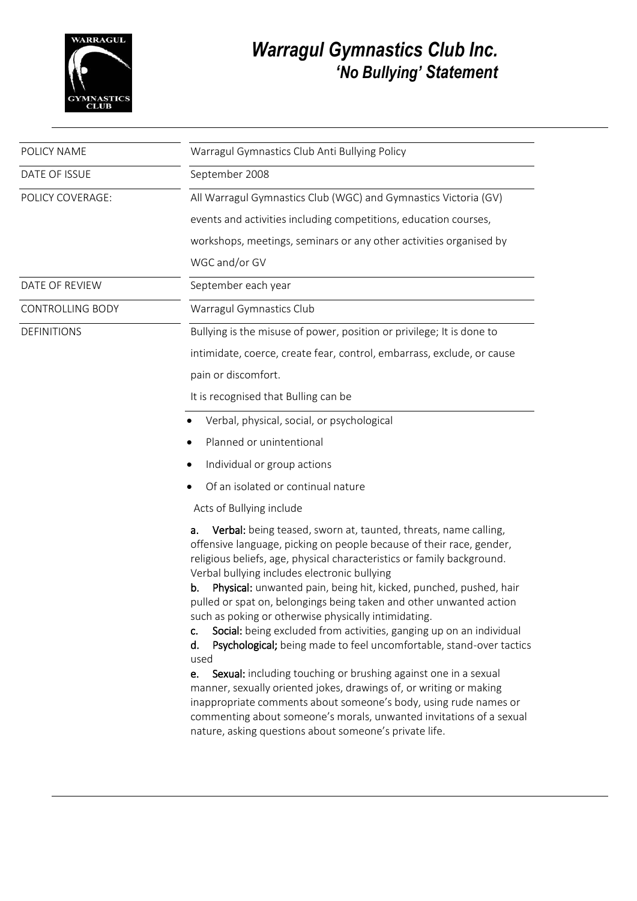

## *Warragul Gymnastics Club Inc. 'No Bullying' Statement*

| Warragul Gymnastics Club Anti Bullying Policy                                                                                                                                                                                                                                                                                                                                                                                                                                                                                                                                                                                                                                                                                                                                                                                                                                                                                                                                                         |
|-------------------------------------------------------------------------------------------------------------------------------------------------------------------------------------------------------------------------------------------------------------------------------------------------------------------------------------------------------------------------------------------------------------------------------------------------------------------------------------------------------------------------------------------------------------------------------------------------------------------------------------------------------------------------------------------------------------------------------------------------------------------------------------------------------------------------------------------------------------------------------------------------------------------------------------------------------------------------------------------------------|
|                                                                                                                                                                                                                                                                                                                                                                                                                                                                                                                                                                                                                                                                                                                                                                                                                                                                                                                                                                                                       |
| September 2008                                                                                                                                                                                                                                                                                                                                                                                                                                                                                                                                                                                                                                                                                                                                                                                                                                                                                                                                                                                        |
| All Warragul Gymnastics Club (WGC) and Gymnastics Victoria (GV)                                                                                                                                                                                                                                                                                                                                                                                                                                                                                                                                                                                                                                                                                                                                                                                                                                                                                                                                       |
| events and activities including competitions, education courses,                                                                                                                                                                                                                                                                                                                                                                                                                                                                                                                                                                                                                                                                                                                                                                                                                                                                                                                                      |
| workshops, meetings, seminars or any other activities organised by                                                                                                                                                                                                                                                                                                                                                                                                                                                                                                                                                                                                                                                                                                                                                                                                                                                                                                                                    |
| WGC and/or GV                                                                                                                                                                                                                                                                                                                                                                                                                                                                                                                                                                                                                                                                                                                                                                                                                                                                                                                                                                                         |
| September each year                                                                                                                                                                                                                                                                                                                                                                                                                                                                                                                                                                                                                                                                                                                                                                                                                                                                                                                                                                                   |
| Warragul Gymnastics Club                                                                                                                                                                                                                                                                                                                                                                                                                                                                                                                                                                                                                                                                                                                                                                                                                                                                                                                                                                              |
| Bullying is the misuse of power, position or privilege; It is done to                                                                                                                                                                                                                                                                                                                                                                                                                                                                                                                                                                                                                                                                                                                                                                                                                                                                                                                                 |
| intimidate, coerce, create fear, control, embarrass, exclude, or cause                                                                                                                                                                                                                                                                                                                                                                                                                                                                                                                                                                                                                                                                                                                                                                                                                                                                                                                                |
| pain or discomfort.                                                                                                                                                                                                                                                                                                                                                                                                                                                                                                                                                                                                                                                                                                                                                                                                                                                                                                                                                                                   |
| It is recognised that Bulling can be                                                                                                                                                                                                                                                                                                                                                                                                                                                                                                                                                                                                                                                                                                                                                                                                                                                                                                                                                                  |
| Verbal, physical, social, or psychological                                                                                                                                                                                                                                                                                                                                                                                                                                                                                                                                                                                                                                                                                                                                                                                                                                                                                                                                                            |
| Planned or unintentional                                                                                                                                                                                                                                                                                                                                                                                                                                                                                                                                                                                                                                                                                                                                                                                                                                                                                                                                                                              |
| Individual or group actions                                                                                                                                                                                                                                                                                                                                                                                                                                                                                                                                                                                                                                                                                                                                                                                                                                                                                                                                                                           |
| Of an isolated or continual nature                                                                                                                                                                                                                                                                                                                                                                                                                                                                                                                                                                                                                                                                                                                                                                                                                                                                                                                                                                    |
| Acts of Bullying include                                                                                                                                                                                                                                                                                                                                                                                                                                                                                                                                                                                                                                                                                                                                                                                                                                                                                                                                                                              |
| Verbal: being teased, sworn at, taunted, threats, name calling,<br>a.<br>offensive language, picking on people because of their race, gender,<br>religious beliefs, age, physical characteristics or family background.<br>Verbal bullying includes electronic bullying<br>Physical: unwanted pain, being hit, kicked, punched, pushed, hair<br>b.<br>pulled or spat on, belongings being taken and other unwanted action<br>such as poking or otherwise physically intimidating<br>Social: being excluded from activities, ganging up on an individual<br>c.<br>Psychological; being made to feel uncomfortable, stand-over tactics<br>d.<br>used<br>Sexual: including touching or brushing against one in a sexual<br>e.<br>manner, sexually oriented jokes, drawings of, or writing or making<br>inappropriate comments about someone's body, using rude names or<br>commenting about someone's morals, unwanted invitations of a sexual<br>nature, asking questions about someone's private life. |
|                                                                                                                                                                                                                                                                                                                                                                                                                                                                                                                                                                                                                                                                                                                                                                                                                                                                                                                                                                                                       |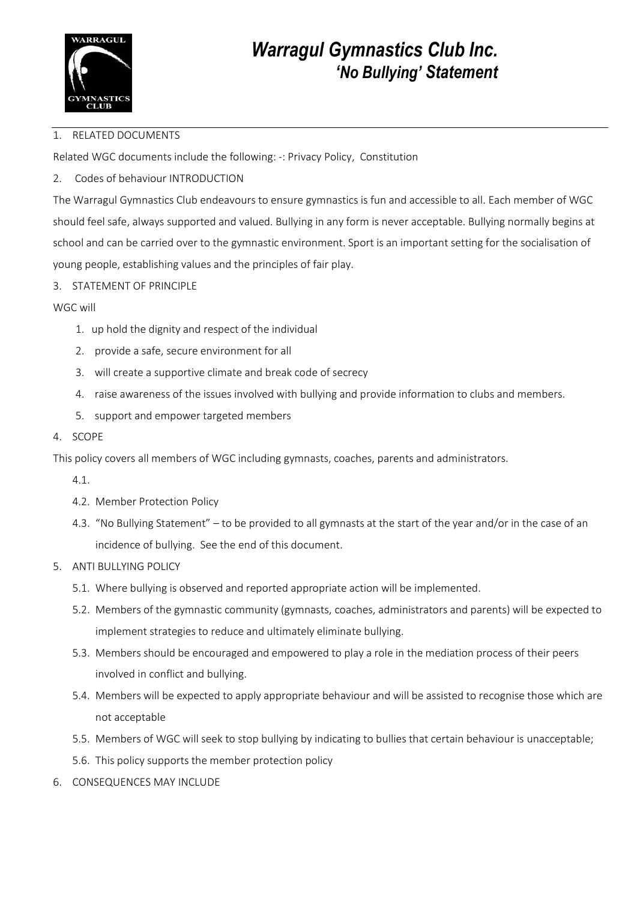

## *Warragul Gymnastics Club Inc. 'No Bullying' Statement*

#### 1. RELATED DOCUMENTS

Related WGC documents include the following: -: Privacy Policy, Constitution

2. Codes of behaviour INTRODUCTION

The Warragul Gymnastics Club endeavours to ensure gymnastics is fun and accessible to all. Each member of WGC should feel safe, always supported and valued. Bullying in any form is never acceptable. Bullying normally begins at school and can be carried over to the gymnastic environment. Sport is an important setting for the socialisation of young people, establishing values and the principles of fair play.

3. STATEMENT OF PRINCIPLE

WGC will

- 1. up hold the dignity and respect of the individual
- 2. provide a safe, secure environment for all
- 3. will create a supportive climate and break code of secrecy
- 4. raise awareness of the issues involved with bullying and provide information to clubs and members.
- 5. support and empower targeted members
- 4. SCOPE

This policy covers all members of WGC including gymnasts, coaches, parents and administrators.

- 4.1.
- 4.2. Member Protection Policy
- 4.3. "No Bullying Statement" to be provided to all gymnasts at the start of the year and/or in the case of an incidence of bullying. See the end of this document.

#### 5. ANTI BULLYING POLICY

- 5.1. Where bullying is observed and reported appropriate action will be implemented.
- 5.2. Members of the gymnastic community (gymnasts, coaches, administrators and parents) will be expected to implement strategies to reduce and ultimately eliminate bullying.
- 5.3. Members should be encouraged and empowered to play a role in the mediation process of their peers involved in conflict and bullying.
- 5.4. Members will be expected to apply appropriate behaviour and will be assisted to recognise those which are not acceptable
- 5.5. Members of WGC will seek to stop bullying by indicating to bullies that certain behaviour is unacceptable;
- 5.6. This policy supports the member protection policy
- 6. CONSEQUENCES MAY INCLUDE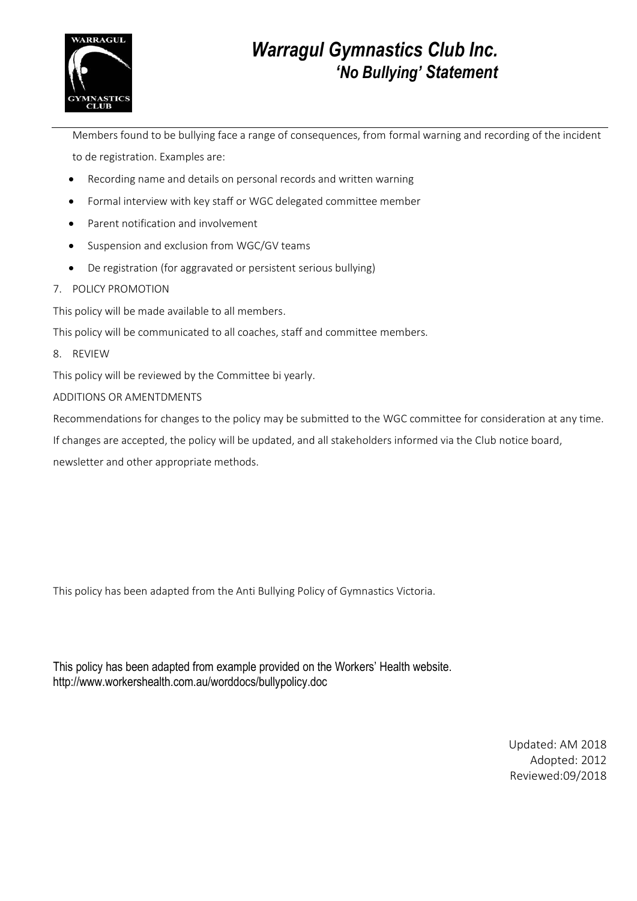

## *Warragul Gymnastics Club Inc. 'No Bullying' Statement*

Members found to be bullying face a range of consequences, from formal warning and recording of the incident to de registration. Examples are:

- Recording name and details on personal records and written warning
- Formal interview with key staff or WGC delegated committee member
- Parent notification and involvement
- Suspension and exclusion from WGC/GV teams
- De registration (for aggravated or persistent serious bullying)
- 7. POLICY PROMOTION

This policy will be made available to all members.

This policy will be communicated to all coaches, staff and committee members.

8. REVIEW

This policy will be reviewed by the Committee bi yearly.

#### ADDITIONS OR AMENTDMENTS

Recommendations for changes to the policy may be submitted to the WGC committee for consideration at any time. If changes are accepted, the policy will be updated, and all stakeholders informed via the Club notice board, newsletter and other appropriate methods.

This policy has been adapted from the Anti Bullying Policy of Gymnastics Victoria.

This policy has been adapted from example provided on the Workers' Health website. http://www.workershealth.com.au/worddocs/bullypolicy.doc

> Updated: AM 2018 Adopted: 2012 Reviewed:09/2018